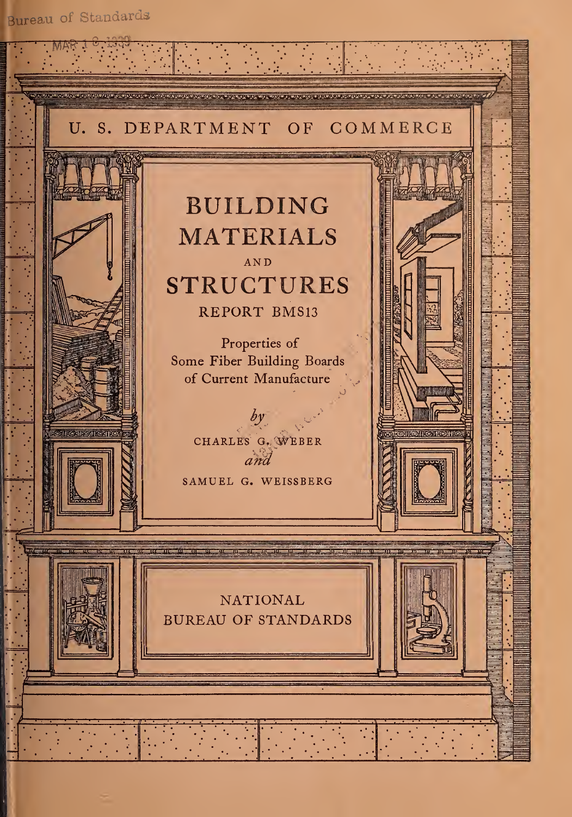Bureau of Standards

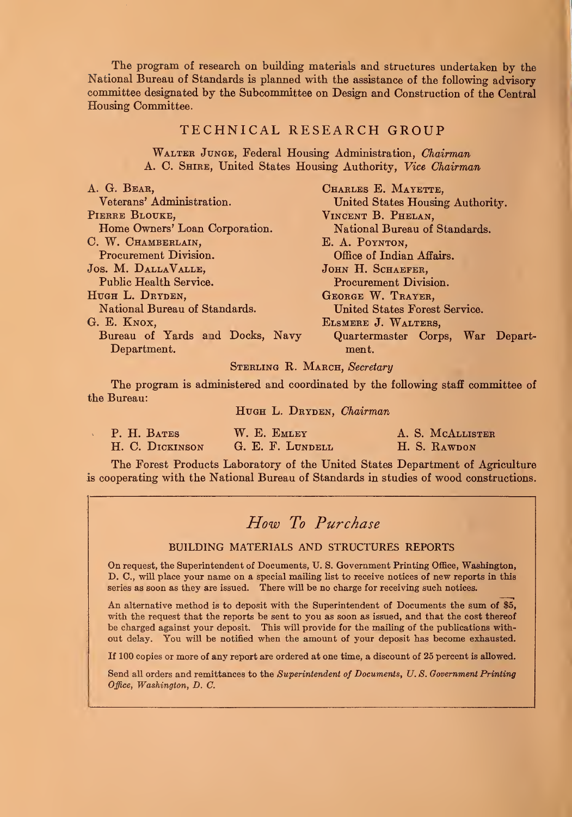The program of research on building materials and structures undertaken by the National Bureau of Standards is planned with the assistance of the following advisory committee designated by the Subcommittee on Design and Construction of the Central Housing Committee.

#### TECHNICAL RESEARCH GROUP

WALTER JUNGE, Federal Housing Administration, Chairman A. C. Shire, United States Housing Authority, Vice Chairman

| A. G. BEAR,                     | CHARLES E. MAYETTE,              |  |  |  |  |  |
|---------------------------------|----------------------------------|--|--|--|--|--|
| Veterans' Administration.       | United States Housing Authority. |  |  |  |  |  |
| PIERRE BLOUKE,                  | VINCENT B. PHELAN,               |  |  |  |  |  |
| Home Owners' Loan Corporation.  | National Bureau of Standards.    |  |  |  |  |  |
| C. W. CHAMBERLAIN,              | E. A. POYNTON,                   |  |  |  |  |  |
| Procurement Division.           | Office of Indian Affairs.        |  |  |  |  |  |
| JOS. M. DALLAVALLE,             | JOHN H. SCHAEFER,                |  |  |  |  |  |
| Public Health Service.          | Procurement Division.            |  |  |  |  |  |
| HUGH L. DRYDEN,                 | GEORGE W. TRAYER,                |  |  |  |  |  |
| National Bureau of Standards.   | United States Forest Service.    |  |  |  |  |  |
| G. E. KNOX,                     | ELSMERE J. WALTERS,              |  |  |  |  |  |
| Bureau of Yards and Docks, Navy | Quartermaster Corps, War Depart- |  |  |  |  |  |
| Department.                     | ment.                            |  |  |  |  |  |
|                                 |                                  |  |  |  |  |  |

#### STERLING R. MARCH, Secretary

The program is administered and coordinated by the following staff committee of the Bureau:

HUGH L. DRYDEN, Chairman

| P. H. BATES     | W. E. EMLEY      | A. S. MCALLISTER |
|-----------------|------------------|------------------|
| H. C. DICKINSON | G. E. F. LUNDELL | H. S. RAWDON     |

The Forest Products Laboratory of the United States Department of Agriculture is cooperating with the National Bureau of Standards in studies of wood constructions.

### How To Purchase

#### BUILDING MATERIALS AND STRUCTURES REPORTS

On request, the Superintendent of Documents, U. S. Government Printing Office, Washington, D. C., will place your name on a special mailing list to receive notices of new reports in this series as soon as they are issued. There will be no charge for receiving such notices.

An alternative method is to deposit with the Superintendent of Documents the sum of \$5, with the request that the reports be sent to you as soon as issued, and that the cost thereof be charged against your deposit. This will provide for the mailing of the publications without delay. You will be notified when the amount of your deposit has become exhausted.

If 100 copies or more of any report are ordered at one time, a discount of 25 percent is allowed.

Send all orders and remittances to the Superintendent of Documents, U.S. Government Printing Office, Washington, D. C.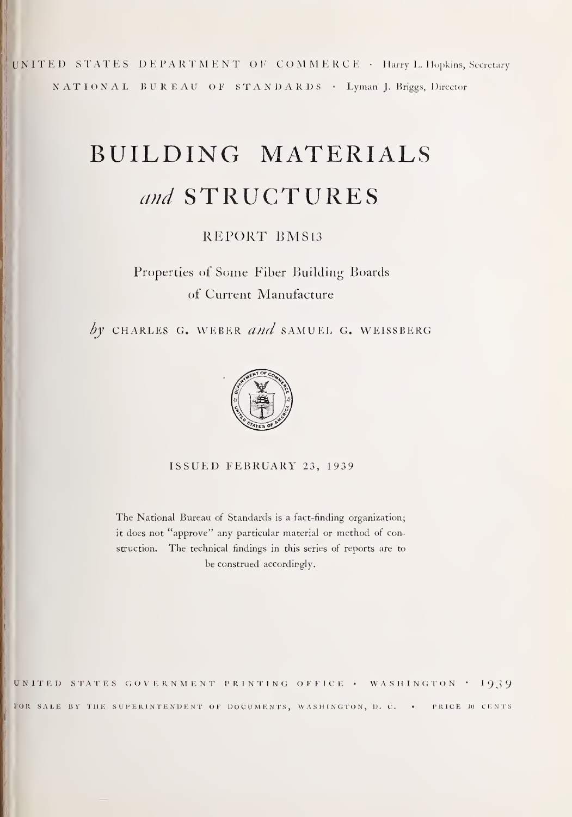UNITED STATES DEPARTMENT OF COMMERCE · Harry L. Hopkins, Secretary NATIONAL BUREAU OF STANDARDS · Lyman J. Briggs, Director

# BUILDING MATERIALS and STRUCTURES

### REPORT BMS13

Properties of Some Fiber Building Boards of Current Manufacture

by CHARLES G. WEBER and SAMUEL G. WEISSBERG



ISSUED FEBRUARY 23, 1939

The National Bureau of Standards is a fact-finding organization; it does not "approve" any particular material or method of construction. The technical findings in this series of reports are to be construed accordingly.

UNITED STATES GOVERNMENT PRINTING OFFICE • WASHINGTON • 1939 FOR SALE BY THE SUPERINTENDENT OF DOCUMENTS, WASHINGTON, D. C. . PRICE 10 CENTS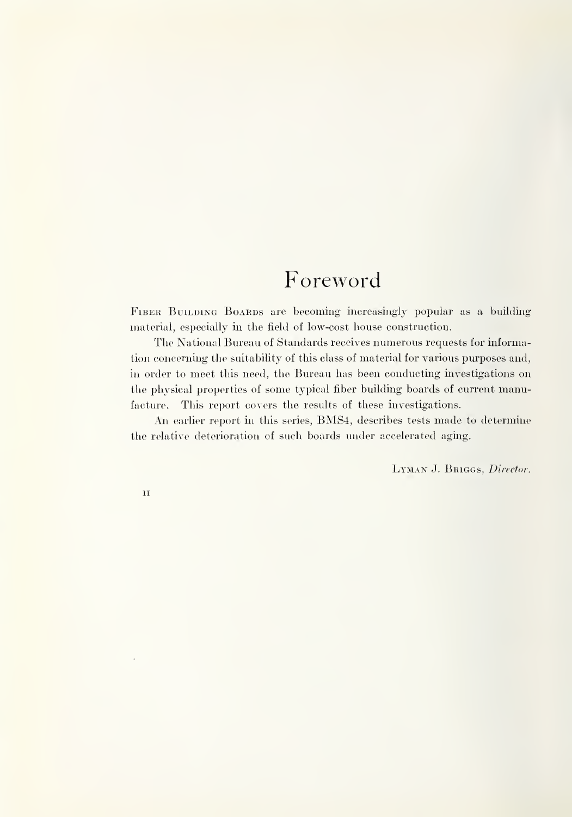## Foreword

FIBER BUILDING BOARDS are becoming increasingly popular as a building material, especially in the field of low-cost house construction.

The National Bureau of Standards receives numerous requests for information concerning the suitability of this class of material for various purposes and, in order to meet this need, the Bureau has been conducting investigations on the physical properties of some typical fiber building boards of current manufacture. This report covers the results of these investigations.

An earlier report in this series, BMS4, describes tests made to determine the relative deterioration of such boards under accelerated aging.

LYMAN J. BRIGGS, Director.

II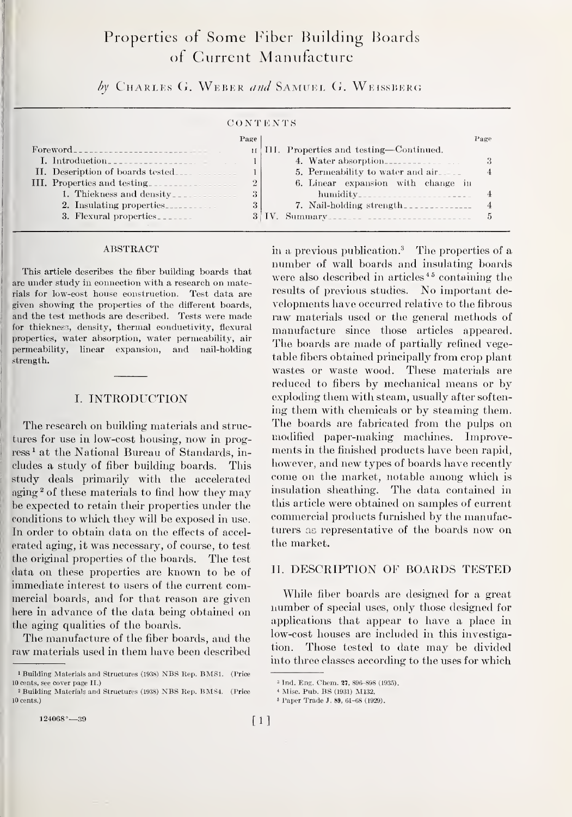### Properties of Some Fiber Building Boards of Current Manufacture

 $by$  Charles G. Weber and Samuel G. Weissberg

#### C O N T E N T <sup>S</sup>

|                                                                                                            | Page           | Page                                   |   |
|------------------------------------------------------------------------------------------------------------|----------------|----------------------------------------|---|
| $\text{Forward}\text{---}\text{---}\text{---}\text{---}\text{---}\text{---}\text{---}\text{---}\text{---}$ |                | III. Properties and testing—Continued. |   |
| I. Introduction                                                                                            |                | 4. Water absorption                    | 3 |
| II. Description of boards tested                                                                           |                | 5. Permeability to water and air.      |   |
| III. Properties and testing                                                                                | $\overline{2}$ | 6. Linear expansion with change in     |   |
| 1. Thiekness and density                                                                                   | 3              | $\hbox{hundity}$                       |   |
| 2. Insulating properties                                                                                   | 3              | 7. Nail-holding strength               |   |
| 3. Flexural properties                                                                                     |                |                                        |   |

#### ABSTRACT

This article describes the fiber building boards that are under study in connection with a research on materials for low-cost house construction. Test data are given showing the properties of the different boards, and the test methods are described. Tests were made for thickness, density, thermal conductivity, flexural properties, water absorption, water permeability, air permeability, linear expansion, and nail-holding strength.

#### I. INTKODUCTION

The research on building materials and structures for use in low-cost housing, now in progress<sup>1</sup> at the National Bureau of Standards, includes a study of fiber building boards. This study deals primarily with the accelerated aging  $2$  of these materials to find how they may be expected to retain their properties under the conditions to which they will be exposed in use. In order to obtain data on the effects of accel erated aging, it was necessary, of course, to test the original properties of the boards. The test data on these properties are known to be of immediate interest to users of the current commercial boards, and for that reason are given here in advance of the data being obtained on the aging qualities of the boards.

The manufacture of the fiber boards, and the raw materials used in them have been described

 $124068^{\circ}$ —39  $[1]$ 

in a previous publication.<sup>3</sup> The properties of a number of wall boards and insulating boards were also described in articles<sup>45</sup> containing the results of previous studies. No important developments have occurred relative to the fibrous raw materials used or the general methods of manufacture since those articles appeared. The boards are made of partially refined vegetable fibers obtained principally from crop plant wastes or waste wood. These materials are reduced to fibers by mechanical means or by exploding them with steam, usually after softening them with chemicals or by steaming them. The boards are fabricated from the pulps on modified paper-making machines. Improvements in the finished products have been rapid, however, and new types of boards have recently come on the market, notable among which is insulation sheathing. The data contained in this article were obtained on samples of current commercial products furnished by the manufacturers aa representative of the boards now on the market.

#### IT. DESCRIPTION OF BOARDS TESTED

While fiber boards are designed for a great number of special uses, only those designed for applications that appear to have a place in low-cost houses are included in this investigation. Those tested to date may be divided into three classes according to the uses for which

<sup>1</sup> Building Materials and Structures (1938) NBS Rep. BMSl. (Price 10 cents, see cover page II.)

<sup>2</sup> Building Materials and Structures (1938) NBS Rep. BMS4. (Price 10 cents.)

<sup>3</sup> Ind. Eng. Chem. 27, 896-898 (1935).

<sup>&</sup>lt; Misc. Pub. BS (1931) M132.

<sup>5</sup> Paper Trade J. 89, 61-68 (1929).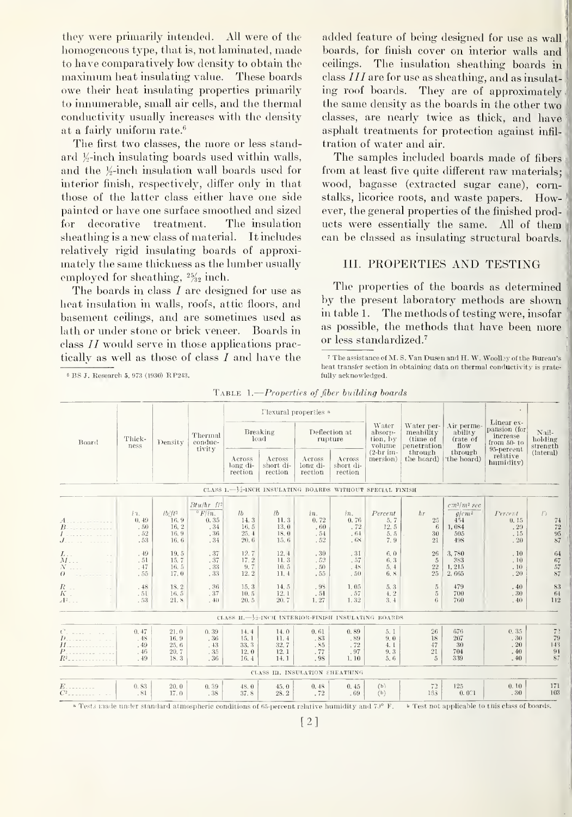they were primarily intended. All were of the homogeneous type, that is, not laminated, made to have comparatively low density to obtain the maximum heat insulating value. These boards owe their heat insulating properties primarily to innumerable, small air cells, and the thermal conductivity usually increases with the density at a fairly uniform rate.<sup>6</sup>

The first two classes, the more or less standard  $\frac{1}{2}$ -inch insulating boards used within walls, and the  $\frac{1}{2}$ -inch insulation wall boards used for interior finish, respectively, differ only in that those of the latter class either have one side painted or have one surface smoothed and sized for decorative treatment. The insulation sheathing is a new class of material. It includes relatively rigid insulating boards of approximately the same thickness as the lumber usually employed for sheathing,  $\frac{25}{232}$  inch.

The boards in class  $I$  are designed for use as heat insulation in walls, roofs, attic floors, and basement ceilings, and are sometimes used as lath or under stone or brick veneer. Boards in class  $II$  would serve in those applications practically as well as those of class  $I$  and have the

BS J. Research 5, 973 (1930) R P243.

added feature of being designed for use as wall boards, for finish cover on interior walls and ceilings. The insulation sheathing boards in class  $III$  are for use as sheathing, and as insulating roof boards. They are of approximately the same density as the boards in the other two <sup>j</sup> classes, are nearly twice as thick, and have asphalt treatments for protection against infil tration of water and air.

The samples included boards made of fibers from at least five quite different raw materials; wood, bagasse (extracted sugar cane), cornstalks, licorice roots, and waste papers. However, the general properties of the finished products were essentially the same. All of them can be classed as insulating structural boards.

#### III. PROPERTIES AND TESTING

The properties of the boards as determined by the present laboratory methods are shown in table 1. The methods of testing were, insofar as possible, the methods that have been more or less standardized.''

The assistance of M.S. Van Dusen and H.W. Woolley of the Bureau's heat transfer section in obtaining data on thermal conductivity is gratefully acknowledged.

| TABLE $1$ . Properties of fiber building boards |  |
|-------------------------------------------------|--|
|-------------------------------------------------|--|

| Tlexural properties a                                       |                                      |                                           |                                                                            |                                              |                                                     |                                  |                                        |                                        |                                                    |                                                          |                                                        |                                                                       |
|-------------------------------------------------------------|--------------------------------------|-------------------------------------------|----------------------------------------------------------------------------|----------------------------------------------|-----------------------------------------------------|----------------------------------|----------------------------------------|----------------------------------------|----------------------------------------------------|----------------------------------------------------------|--------------------------------------------------------|-----------------------------------------------------------------------|
| Board                                                       | Thick-<br>ness                       | Density                                   | Thermal<br>conduc-<br>tivity                                               | Breaking<br>load                             |                                                     | Deflection at<br>rupture         |                                        | Water<br>ahsorn-<br>tion, by<br>volume | Water per-<br>meahility<br>(time of<br>penetration | Air perme-<br>ability<br>(rate of<br>flow                | Linear ex-<br>pansion (for<br>increase<br>from $50-10$ | Nail-<br>holding<br>strength                                          |
|                                                             |                                      |                                           |                                                                            | Across<br>long di-<br>rection                | Across<br>short di-<br>rection                      | Across<br>long di-<br>rection    | Across<br>short di-<br>rection         | $(2-hr)$ im-<br>mersion)               | through<br>the hoard)                              | through<br>the hoard)                                    | 95-percent<br>relative<br>humidity)                    | (lateral)                                                             |
| CLASS 1. - 12-INCH INSULATING BOARDS WITHOUT SPECIAL FINISH |                                      |                                           |                                                                            |                                              |                                                     |                                  |                                        |                                        |                                                    |                                                          |                                                        |                                                                       |
| $B_1$<br>$J$ <sub>---</sub> ---                             | $i2$ .<br>0, 49<br>.50<br>.52<br>.53 | $1b/ft^3$<br>16.9<br>16.2<br>16.9<br>16.6 | $Btu/hr$ $ft$ <sup>2</sup><br>$\degree$ F/in.<br>0.35<br>.34<br>.36<br>.34 | $l$ <i>b</i><br>14.3<br>16.5<br>25.4<br>20.6 | lb<br>11.3<br>13.0<br>18.0<br>15.6                  | in.<br>0.72<br>.60<br>.54<br>.52 | in.<br>0.76<br>.72<br>.64<br>.68       | Percent<br>5.7<br>12.5<br>5.5<br>7.9   | hr<br>25<br>6<br>30<br>21                          | $cm^3/m^2$ sec<br>$g/cm^2$<br>454<br>1,084<br>505<br>498 | Percent<br>0.15<br>$\,$ . $20$<br>.15<br>.20           | $\binom{1}{2}$<br>74<br>$\begin{array}{c} 72 \\ 95 \end{array}$<br>87 |
| $\frac{L}{M}$ .<br>$\sim$ .<br>$N$<br>$\theta$              | . 49<br>.51<br>.47<br>.55            | 19.5<br>15.7<br>16.5<br>17.0              | .37<br>.37<br>.33<br>. 33                                                  | 12.7<br>17.2<br>9.7<br>12.2                  | 12.4<br>11.3<br>10.5<br>11.4                        | .30<br>.52<br>.50<br>.55         | .31<br>.57<br>.48<br>.50               | 6.0<br>6.3<br>5, 4<br>6.8              | 26<br>$\overline{5}$<br>22<br>25                   | 3,780<br>383<br>1,215<br>2,665                           | .10<br>.10<br>, 10<br>.20                              | 64<br>67<br>$57\,$<br>87                                              |
| $\frac{R}{K}$ .<br>$\sim 1$<br>$A^2$                        | .48<br>.51<br>.53                    | 18.2<br>16.5<br>21.8                      | .36<br>.37<br>.40                                                          | 15.3<br>10.5<br>20.5                         | 14.5<br>12.1<br>20.7                                | .98<br>.54<br>1.27               | 1.05<br>.57<br>1.32                    | 5.3<br>4.2<br>3, 4                     | $\overline{5}$<br>$5\,$<br>6                       | 479<br>700<br>760                                        | .40<br>.30<br>.40                                      | 83<br>64<br>112                                                       |
|                                                             |                                      |                                           |                                                                            |                                              | CLASS II.-12-INCH INTERIOR-FINISH INSULATING BOARDS |                                  |                                        |                                        |                                                    |                                                          |                                                        |                                                                       |
| $D_{\text{max}}$<br>$H_{1}, \ldots, H_{n}$<br>$R^2$         | 0.47<br>.48<br>.49<br>.46<br>.49     | 21.0<br>16.9<br>25.6<br>20.7<br>18.3      | 0.39<br>.36<br>. 43<br>.35<br>.36                                          | 14.4<br>15.1<br>33.3<br>12.0<br>16.4         | 14.0<br>11.4<br>32.7<br>12.1<br>14.1                | 0.61<br>.83<br>.85<br>.77<br>.98 | 0.89<br>.89<br>. $72\,$<br>.97<br>1.10 | 5.1<br>9.0<br>4. I<br>9.3<br>5.6       | 26<br>18<br>47<br>21<br>$\overline{5}$             | 676<br>207<br>30<br>704<br>339                           | 0.35<br>.30<br>.20<br>.40<br>.40                       | 7 <sup>2</sup><br>79<br>143<br>91<br>87                               |
|                                                             | CLASS III. INSULATION SHEATHING      |                                           |                                                                            |                                              |                                                     |                                  |                                        |                                        |                                                    |                                                          |                                                        |                                                                       |
| $C^2$ and $C^2$                                             | 0.83<br>.81                          | 20.0<br>17.0                              | 0.39<br>.38                                                                | 48.0<br>37.8                                 | 45.0<br>28.2                                        | 0.48<br>.72                      | 0.45<br>.69                            | (b)<br>(b)                             | 72<br>163                                          | 125<br>0.0C1                                             | 0.10<br>.30                                            | 171<br>103                                                            |

<sup>a</sup> Tests made under standard atmospheric conditions of 65-percent relative humidity and 7.<sup>0</sup> F. **b** Test not applicable to this class of boards.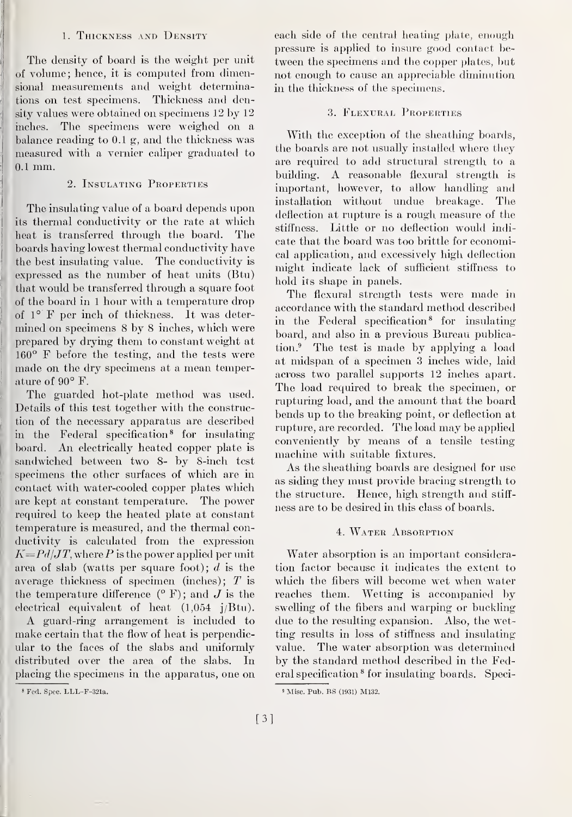#### 1. Thickness and Density

The density of board is the weight per unit of volume; hence, it is computed from dimensional measurements and weight determina tions on test specimens. Thickness and density values were obtained on specimens 12 by 12 inches. The specimens were weighed on a balance reading to 0.1 g, and the thickness was measured with a vernier caliper graduated to 0.1 mm.

#### 2. Insulating Properties

 The insulating value of a board depends upon its thermal conductivity or the rate at which heat is transferred through the board. The boards having lowest thermal conductivity have the best insulating value. The conductivity is expressed as the number of heat units (Btu) that would be transferred through a square foot of the board in 1 hour with a temperature drop of  $1^\circ$  F per inch of thickness. It was determined on specimens 8 by 8 inches, which were prepared by drying them to constant weight at <sup>1</sup> 160° F before the testing, and the tests were made on the dry specimens at a mean temperature of 90° F.

The guarded hot-plate method was used. Details of this test together with the construction of the necessary apparatus are described in the Federal specification® for insulating board. An electrically heated copper plate is sandwiched between two 8- by 8-inch test specimens the other surfaces of which are in contact with water-cooled copper plates which are kept at constant temperature. The power required to keep the heated plate at constant temperature is measured, and the thermal conductivity is calculated from the expression  $K = Pd/JT$ , where P is the power applied per unit area of slab (watts per square foot);  $d$  is the average thickness of specimen (inches);  $T$  is the temperature difference  $(^{\circ}$  F); and J is the electrical equivalent of heat (1,054 j/Btu).

A guard-ring arrangement is included to make certain that the flow of heat is perpendicular to the faces of the slabs and uniformly . distributed over the area of the slabs. In placing the specimens in the apparatus, one on each side of the central heating plate, enough pressure is applied to insure good contact between the specimens and the copper plates, but not enough to cause an appreciable diminution in the thickness of the specimens.

#### .3. Flexural Properties

With the exception of the sheathing boards, the boards are not usually installed where they are required to add structural strength to a building. A reasonable flexural strength is important, however, to allow handling and installation without undue breakage. The deflection at rupture is a rough measure of the stiffness. Little or no deflection would indi cate that the board was too brittle for economical application, and excessively high deflection might indicate lack of sufficient stiffness to hold its shape in panels.

The flexural strength tests were made in accordance with the standard method described in the Federal specification® for insulating board, and also in a previous Bureau publication.® The test is made by applying a load at midspan of a specimen 3 inches wide, laid across two parallel supports 12 inches apart. The load required to break the specimen, or rupturing load, and the amount that the board bends up to the breaking point, or deflection at rupture, are recorded. The load may be applied conveniently by means of a tensile testing machine with suitable fixtures.

As the sheathing boards are designed for use as siding they must provide bracing strength to the structure. Hence, high strength and stiff ness are to be desired in this class of boards.

#### 4. WATER ABSORPTION

Water absorption is an important consideration factor because it indicates the extent to which the fibers will become wet when water reaches them. Wetting is accompanied by swelling of the fibers and warping or buckling due to the resulting expansion. Also, the wetting results in loss of stiffness and insulating value. The water absorption was determined by the standard method described in the Federal specification ® for insulating boards. Speci-

<sup>«</sup> Fed. Spec. LLL-F-321a.

<sup>9</sup> Misc. Pub. BS (1931) M132.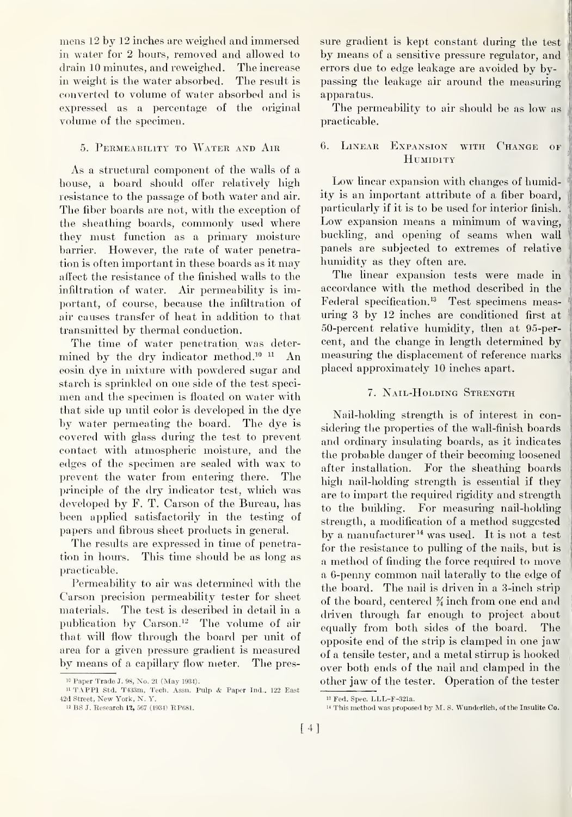mens 12 by 12 inches are weighed and immersed in water for 2 hours, removed and allowed to drain 10 minutes, and reweighed. The increase in weight is the water absorbed. The result is converted to volume of water absorbed and is expressed as a percentage of the original volume of the specimen.

#### 5. Permeability to Water and Air

As a structural component of the walls of a house, a board should offer relatively high resistance to the passage of both water and air. The fiber boards are not, with the exception of the sheathing boards, commonly used where they must function as a primary moisture barrier. However, the rate of water penetration is often important in these boards as it may affect the resistance of the finished walls to the infiltration of water. Air permeability is important, of course, because the infiltration of air causes transfer of heat in addition to that transmitted by thermal conduction.

The time of water penetration was determined by the dry indicator method.<sup>10 11</sup> An eosin dye in mixture with powdered sugar and starch is sprinkled on one side of the test specimen and the specimen is floated on water with that side up until color is developed in the dye by water permeating the board. The dye is covered with glass during the test to prevent contact with atmospheric moisture, and the edges of the specimen are sealed with wax to prevent the water from entering there. The principle of the dry indicator test, which was developed by F. T. Carson of the Bureau, has been applied satisfactorily in the testing of papers and fibrous sheet products in general.

The results are expressed in time of penetration in hours. This time should be as long as practicable.

Permeability to air was determined with the Carson precision permeability tester for sheet materials. The test is described in detail in a publication by Carson.<sup>12</sup> The volume of air that will flow through the board per unit of area for a given pressure gradient is measured by means of a capillary flow meter. The pressure gradient is kept constant during the test by means of a sensitive pressure regulator, and errors due to edge leakage are avoided by bypassing the leakage air around the measuring apparatus.

The permeability to air should be as low as practicable.

#### 6. Linear Expansion with Change of HUMIDITY

Low linear expansion with changes of humidity is an important attribute of a fiber board, particularly if it is to be used for interior finish. Low expansion means a minimum of waving, buckling, and opening of seams when wall panels are subjected to extremes of relative humidity as they often are.

The linear expansion tests were made in accordance with the method described in the Federal specification.<sup>13</sup> Test specimens measuring 3 by 12 inches are conditioned first at 50-percent relative humidity, then at 95-percent, and the change in length determined by measuring the displacement of reference marks placed approximately 10 inches apart.

#### 7. Nail-Holding Strength

Nail-holding strength is of interest in considering the properties of the wall-finish boards and ordinary insulating boards, as it indicates the probable danger of their becoming loosened after installation. For the sheathing boards high nail-holding strength is essential if they are to impart the required rigidity and strength to the building. For measuring nail-holding strength, a modification of a method suggested by a manufacturer<sup>14</sup> was used. It is not a test for the resistance to pulling of the nails, but is a method of finding the force required to move a 6-penny common nail laterally to the edge of the board. The nail is driven in a 3-inch strip of the board, centered % inch from one end and driven through far enough to project about equally from both sides of the board. The opposite end of the strip is clamped in one jaw of a tensile tester, and a metal stirrup is hooked over both ends of the nail and clamped in the other jaw of the tester. Operation of the tester

i» Paper Trade J. 98, No. <sup>21</sup> (May 1934).

<sup>&</sup>lt;sup>11</sup> TAPP1 Std. T433m, Tech. Assn. Pulp & Paper Ind., 122 East 42d Street, New York, N. Y.

 $^{12}$  BS J. Research  $\bf 12,$  567 (1934) RP681.

<sup>&</sup>lt;sup>13</sup> Fed. Spec. LLL-F-321a.

 $^{14}$  This method was proposed by M. S. Wunderlich, of the Insulite Co.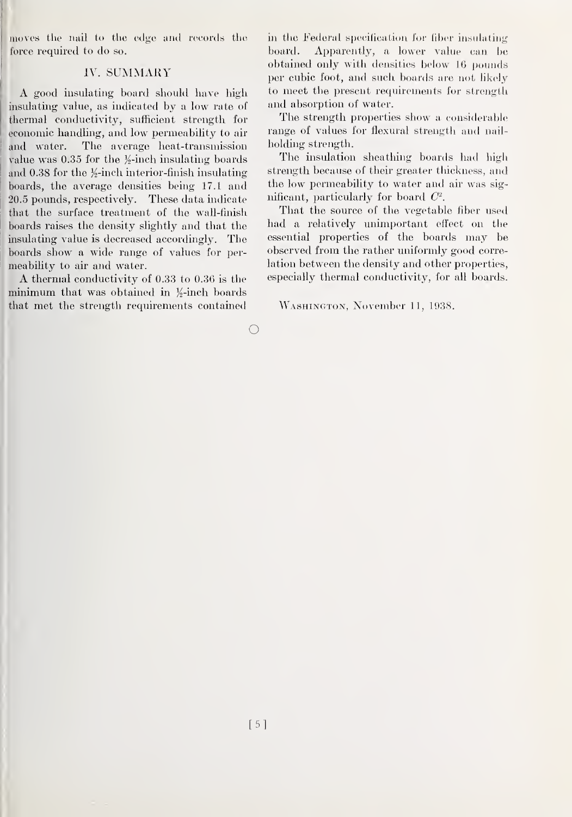moves the nail to the edge and records the force required to do so.

#### IV. SUMMARY

A good insulating board should have high insulating value, as indicated by a low rate of thermal conductivity, sufficient strength for economic handling, and low permeability to air The average heat-transmission and water. value was 0.35 for the  $\frac{1}{2}$ -inch insulating boards and 0.38 for the  $\frac{1}{2}$ -inch interior-finish insulating boards, the average densities being 17.1 and 20.5 pounds, respectively. These data indicate that the surface treatment of the wall-finish boards raises the density slightly and that the insulating value is decreased accordingly. The boards show a wide range of values for permeability to air and water.

A thermal conductivity of 0.33 to 0.36 is the minimum that was obtained in  $\frac{1}{2}$ -inch boards that met the strength requirements contained

in the Federal specification for fiber insulating Apparently, a lower value can be board. obtained only with densities below 16 pounds per cubic foot, and such boards are not likely to meet the present requirements for strength and absorption of water.

The strength properties show a considerable range of values for flexural strength and nailholding strength.

The insulation sheathing boards had high strength because of their greater thickness, and the low permeability to water and air was significant, particularly for board  $C^2$ .

That the source of the vegetable fiber used had a relatively unimportant effect on the essential properties of the boards may be observed from the rather uniformly good correlation between the density and other properties. especially thermal conductivity, for all boards.

WASHINGTON, November 11, 1938.

 $\bigcirc$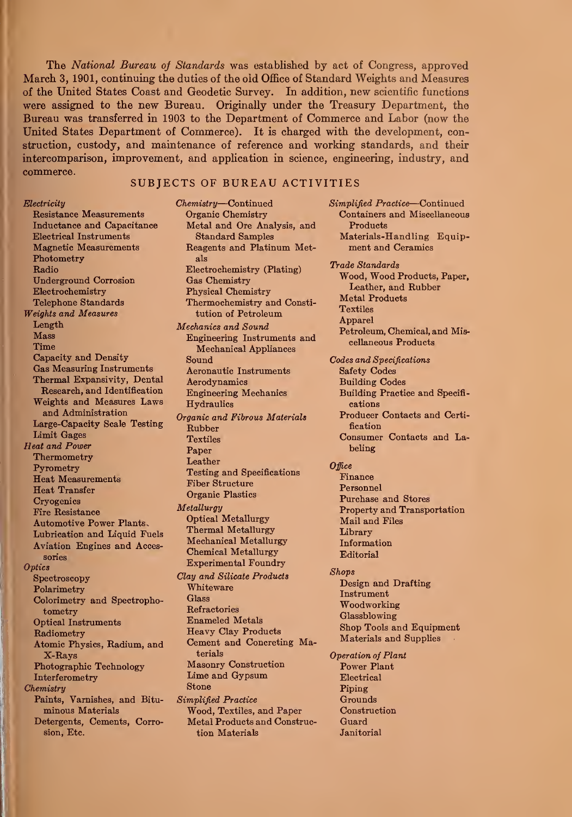The National Bureau of Standards was established by act of Congress, approved March 3, 1901, continuing the duties of the old Office of Standard Weights and Measures of the United States Coast and Geodetic Survey. In addition, new scientific functions were assigned to the new Bureau. Originally imder the Treasury Department, the Bureau was transferred in 1903 to the Department of Commerce and Labor (now the United States Department of Commerce). It is charged with the development, construction, custody, and maintenance of reference and working standards, and their intercomparison, improvement, and application in science, engineering, industry, and commerce. SUBJECTS OF BUREAU ACTIVITIES

Electricity Resistance Measurements Inductance and Capacitance Electrical Instruments Magnetic Measurements Photometry Radio Underground Corrosion Electrochemistry Telephone Standards Weights and Measures Length Mass Time Capacity and Density Gas Measuring Instruments Thermal Expansivity, Dental Research, and Identification Weights and Measures Laws and Administration Large-Capacity Scale Testing Limit Gages Heat and Power Thermometry Pyrometry Heat Measurements Heat Transfer **Cryogenics** Fire Resistance Automotive Power Plants. Lubrication and Liquid Fuels Aviation Engines and Accessories **Optics** Spectroscopy Polarimetry Colorimetry and Spectrophotometry Optical Instruments Radiometry Atomic Physics, Radium, and X-Rays Photographic Technology Interferometry **Chemistry** Paints, Varnishes, and Bituminous Materials Detergents, Cements, Corrosion, Etc.

Chemistry—Continued Organic Chemistry Metal and Ore Analysis, and Standard Samples Reagents and Platinum Metals Electrochemistry (Plating) Gas Chemistry Physical Chemistry Thermochemistry and Constitution of Petroleum Mechanics and Sound Engineering Instruments and Mechanical Appliances Sound Aeronautic Instruments Aerodynamics Engineering Mechanics **Hydraulics** Organic and Fibrous Materials Rubber **Textiles** Paper Leather Testing and Specifications Fiber Structure Organic Plastics Metallurgy Optical Metallurgy Thermal Metallurgy Mechanical Metallurgy Chemical Metallurgy Experimental Foundry Clay and Silicate Products Whiteware Glass Refractories Enameled Metals Heavy Clay Products Cement and Concreting Materials Masonry Construction Lime and Gypsum Stone Simplified Practice Wood, Textiles, and Paper Metal Products and Construction Materials

Products Materials-Handling Equipment and Ceramics Trade Standards Wood, Wood Products, Paper, Leather, and Rubber Metal Products **Textiles** Apparel Petroleum, Chemical, and Miscellaneous Products Codes and Specifications Safety Codes Building Codes Building Practice and Specifi cations Producer Contacts and Certification Consumer Contacts and Labeling **Office** Finance Personnel Purchase and Stores Property and Transportation Mail and Files Library Information Editorial Shops Design and Drafting Instrument Woodworking Glassblowing Shop Tools and Equipment Materials and Supplies Operation of Plant Power Plant Electrical Piping Grounds **Construction** Guard Janitorial

Simplified Practice—Continued Containers and Miscellaneous